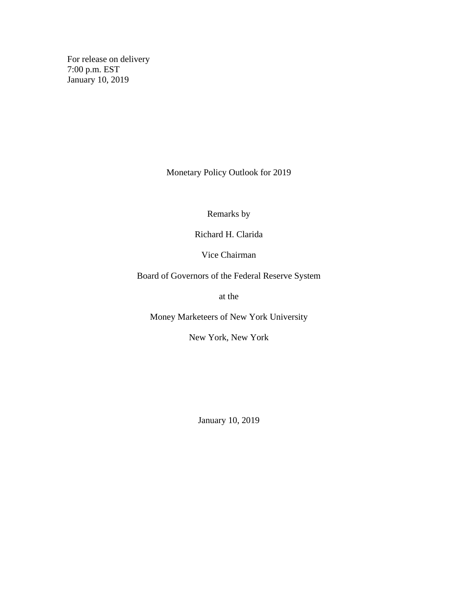For release on delivery 7:00 p.m. EST January 10, 2019

Monetary Policy Outlook for 2019

Remarks by

Richard H. Clarida

Vice Chairman

Board of Governors of the Federal Reserve System

at the

Money Marketeers of New York University

New York, New York

January 10, 2019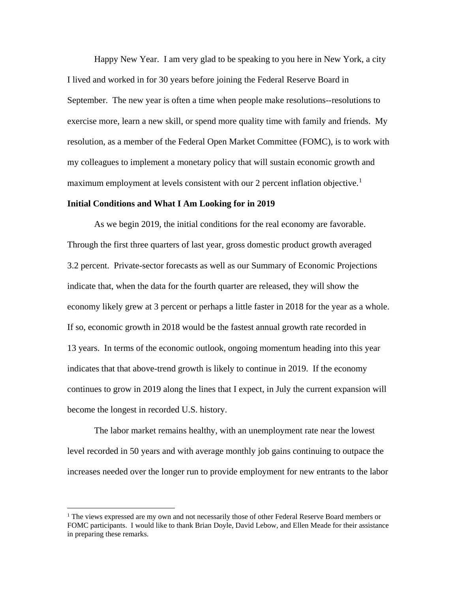Happy New Year. I am very glad to be speaking to you here in New York, a city I lived and worked in for 30 years before joining the Federal Reserve Board in September. The new year is often a time when people make resolutions--resolutions to exercise more, learn a new skill, or spend more quality time with family and friends. My resolution, as a member of the Federal Open Market Committee (FOMC), is to work with my colleagues to implement a monetary policy that will sustain economic growth and maximum employment at levels consistent with our 2 percent inflation objective.<sup>[1](#page-1-0)</sup>

## **Initial Conditions and What I Am Looking for in 2019**

As we begin 2019, the initial conditions for the real economy are favorable. Through the first three quarters of last year, gross domestic product growth averaged 3.2 percent. Private-sector forecasts as well as our Summary of Economic Projections indicate that, when the data for the fourth quarter are released, they will show the economy likely grew at 3 percent or perhaps a little faster in 2018 for the year as a whole. If so, economic growth in 2018 would be the fastest annual growth rate recorded in 13 years. In terms of the economic outlook, ongoing momentum heading into this year indicates that that above-trend growth is likely to continue in 2019. If the economy continues to grow in 2019 along the lines that I expect, in July the current expansion will become the longest in recorded U.S. history.

The labor market remains healthy, with an unemployment rate near the lowest level recorded in 50 years and with average monthly job gains continuing to outpace the increases needed over the longer run to provide employment for new entrants to the labor

<span id="page-1-0"></span><sup>&</sup>lt;sup>1</sup> The views expressed are my own and not necessarily those of other Federal Reserve Board members or FOMC participants. I would like to thank Brian Doyle, David Lebow, and Ellen Meade for their assistance in preparing these remarks.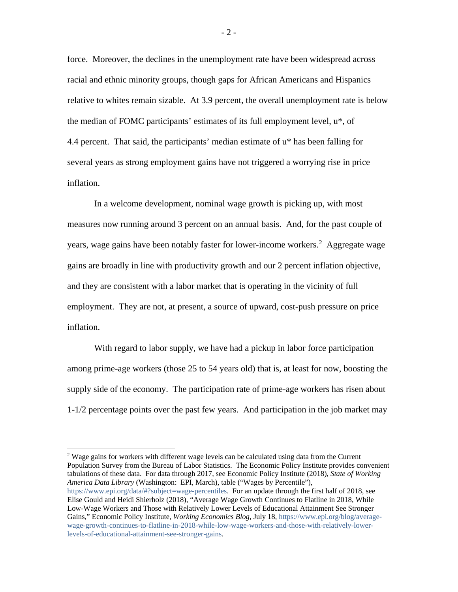force. Moreover, the declines in the unemployment rate have been widespread across racial and ethnic minority groups, though gaps for African Americans and Hispanics relative to whites remain sizable. At 3.9 percent, the overall unemployment rate is below the median of FOMC participants' estimates of its full employment level, u\*, of 4.4 percent. That said, the participants' median estimate of u\* has been falling for several years as strong employment gains have not triggered a worrying rise in price inflation.

In a welcome development, nominal wage growth is picking up, with most measures now running around 3 percent on an annual basis. And, for the past couple of years, wage gains have been notably faster for lower-income workers.<sup>[2](#page-2-0)</sup> Aggregate wage gains are broadly in line with productivity growth and our 2 percent inflation objective, and they are consistent with a labor market that is operating in the vicinity of full employment. They are not, at present, a source of upward, cost-push pressure on price inflation.

With regard to labor supply, we have had a pickup in labor force participation among prime-age workers (those 25 to 54 years old) that is, at least for now, boosting the supply side of the economy. The participation rate of prime-age workers has risen about 1-1/2 percentage points over the past few years. And participation in the job market may

<span id="page-2-0"></span><sup>2</sup> Wage gains for workers with different wage levels can be calculated using data from the Current Population Survey from the Bureau of Labor Statistics. The Economic Policy Institute provides convenient tabulations of these data. For data through 2017, see Economic Policy Institute (2018), *State of Working America Data Library* (Washington: EPI*,* March), table ("Wages by Percentile"), [https://www.epi.org/data/#?subject=wage-percentiles.](https://www.epi.org/data/#?subject=wage-percentiles) For an update through the first half of 2018, see Elise Gould and Heidi Shierholz (2018), "Average Wage Growth Continues to Flatline in 2018, While Low-Wage Workers and Those with Relatively Lower Levels of Educational Attainment See Stronger Gains," Economic Policy Institute, *Working Economics Blog,* July 18, [https://www.epi.org/blog/average](https://www.epi.org/blog/average-wage-growth-continues-to-flatline-in-2018-while-low-wage-workers-and-those-with-relatively-lower-levels-of-educational-attainment-see-stronger-gains/)[wage-growth-continues-to-flatline-in-2018-while-low-wage-workers-and-those-with-relatively-lower](https://www.epi.org/blog/average-wage-growth-continues-to-flatline-in-2018-while-low-wage-workers-and-those-with-relatively-lower-levels-of-educational-attainment-see-stronger-gains/)[levels-of-educational-attainment-see-stronger-gains.](https://www.epi.org/blog/average-wage-growth-continues-to-flatline-in-2018-while-low-wage-workers-and-those-with-relatively-lower-levels-of-educational-attainment-see-stronger-gains/) 

 $-2-$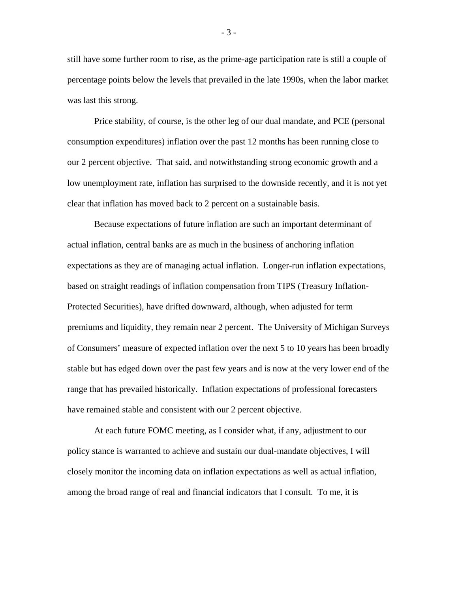still have some further room to rise, as the prime-age participation rate is still a couple of percentage points below the levels that prevailed in the late 1990s, when the labor market was last this strong.

Price stability, of course, is the other leg of our dual mandate, and PCE (personal consumption expenditures) inflation over the past 12 months has been running close to our 2 percent objective. That said, and notwithstanding strong economic growth and a low unemployment rate, inflation has surprised to the downside recently, and it is not yet clear that inflation has moved back to 2 percent on a sustainable basis.

Because expectations of future inflation are such an important determinant of actual inflation, central banks are as much in the business of anchoring inflation expectations as they are of managing actual inflation. Longer-run inflation expectations, based on straight readings of inflation compensation from TIPS (Treasury Inflation-Protected Securities), have drifted downward, although, when adjusted for term premiums and liquidity, they remain near 2 percent. The University of Michigan Surveys of Consumers' measure of expected inflation over the next 5 to 10 years has been broadly stable but has edged down over the past few years and is now at the very lower end of the range that has prevailed historically. Inflation expectations of professional forecasters have remained stable and consistent with our 2 percent objective.

At each future FOMC meeting, as I consider what, if any, adjustment to our policy stance is warranted to achieve and sustain our dual-mandate objectives, I will closely monitor the incoming data on inflation expectations as well as actual inflation, among the broad range of real and financial indicators that I consult. To me, it is

- 3 -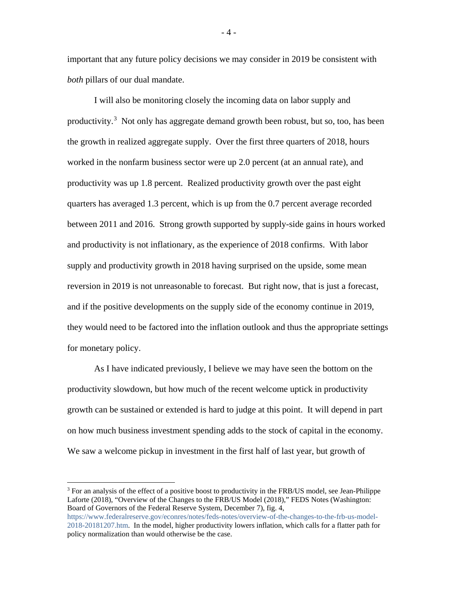important that any future policy decisions we may consider in 2019 be consistent with *both* pillars of our dual mandate.

I will also be monitoring closely the incoming data on labor supply and productivity.<sup>[3](#page-4-0)</sup> Not only has aggregate demand growth been robust, but so, too, has been the growth in realized aggregate supply. Over the first three quarters of 2018, hours worked in the nonfarm business sector were up 2.0 percent (at an annual rate), and productivity was up 1.8 percent. Realized productivity growth over the past eight quarters has averaged 1.3 percent, which is up from the 0.7 percent average recorded between 2011 and 2016. Strong growth supported by supply-side gains in hours worked and productivity is not inflationary, as the experience of 2018 confirms. With labor supply and productivity growth in 2018 having surprised on the upside, some mean reversion in 2019 is not unreasonable to forecast. But right now, that is just a forecast, and if the positive developments on the supply side of the economy continue in 2019, they would need to be factored into the inflation outlook and thus the appropriate settings for monetary policy.

As I have indicated previously, I believe we may have seen the bottom on the productivity slowdown, but how much of the recent welcome uptick in productivity growth can be sustained or extended is hard to judge at this point. It will depend in part on how much business investment spending adds to the stock of capital in the economy. We saw a welcome pickup in investment in the first half of last year, but growth of

<span id="page-4-0"></span> $3$  For an analysis of the effect of a positive boost to productivity in the FRB/US model, see Jean-Philippe Laforte (2018), "Overview of the Changes to the FRB/US Model (2018)," FEDS Notes (Washington: Board of Governors of the Federal Reserve System, December 7), fig. 4,

- 4 -

[https://www.federalreserve.gov/econres/notes/feds-notes/overview-of-the-changes-to-the-frb-us-model-](https://www.federalreserve.gov/econres/notes/feds-notes/overview-of-the-changes-to-the-frb-us-model-2018-20181207.htm)[2018-20181207.htm.](https://www.federalreserve.gov/econres/notes/feds-notes/overview-of-the-changes-to-the-frb-us-model-2018-20181207.htm) In the model, higher productivity lowers inflation, which calls for a flatter path for policy normalization than would otherwise be the case.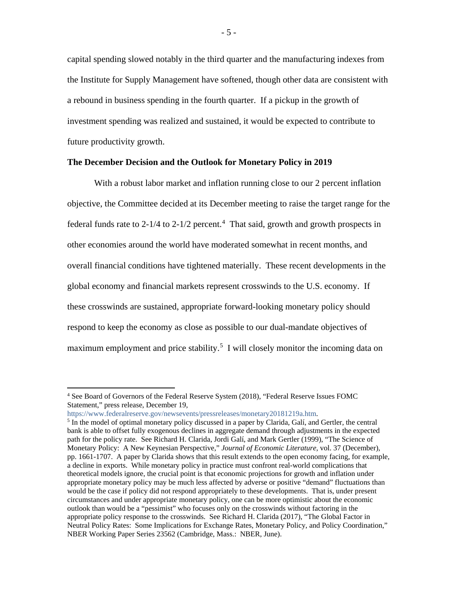capital spending slowed notably in the third quarter and the manufacturing indexes from the Institute for Supply Management have softened, though other data are consistent with a rebound in business spending in the fourth quarter. If a pickup in the growth of investment spending was realized and sustained, it would be expected to contribute to future productivity growth.

## **The December Decision and the Outlook for Monetary Policy in 2019**

With a robust labor market and inflation running close to our 2 percent inflation objective, the Committee decided at its December meeting to raise the target range for the federal funds rate to  $2-1/4$  $2-1/4$  to  $2-1/2$  percent.<sup>4</sup> That said, growth and growth prospects in other economies around the world have moderated somewhat in recent months, and overall financial conditions have tightened materially. These recent developments in the global economy and financial markets represent crosswinds to the U.S. economy. If these crosswinds are sustained, appropriate forward-looking monetary policy should respond to keep the economy as close as possible to our dual-mandate objectives of maximum employment and price stability.<sup>[5](#page-5-1)</sup> I will closely monitor the incoming data on

<span id="page-5-0"></span> <sup>4</sup> See Board of Governors of the Federal Reserve System (2018), "Federal Reserve Issues FOMC Statement," press release, December 19,<br>https://www.federalreserve.gov/newsevents/pressreleases/monetary20181219a.htm.

<span id="page-5-1"></span>

<sup>&</sup>lt;sup>5</sup> In the model of optimal monetary policy discussed in a paper by Clarida, Galí, and Gertler, the central bank is able to offset fully exogenous declines in aggregate demand through adjustments in the expected path for the policy rate. See Richard H. Clarida, Jordi Galí, and Mark Gertler (1999), "The Science of Monetary Policy: A New Keynesian Perspective," *Journal of Economic Literature,* vol. 37 (December), pp. 1661-1707. A paper by Clarida shows that this result extends to the open economy facing, for example, a decline in exports. While monetary policy in practice must confront real-world complications that theoretical models ignore, the crucial point is that economic projections for growth and inflation under appropriate monetary policy may be much less affected by adverse or positive "demand" fluctuations than would be the case if policy did not respond appropriately to these developments. That is, under present circumstances and under appropriate monetary policy, one can be more optimistic about the economic outlook than would be a "pessimist" who focuses only on the crosswinds without factoring in the appropriate policy response to the crosswinds. See Richard H. Clarida (2017), "The Global Factor in Neutral Policy Rates: Some Implications for Exchange Rates, Monetary Policy, and Policy Coordination," NBER Working Paper Series 23562 (Cambridge, Mass.: NBER, June).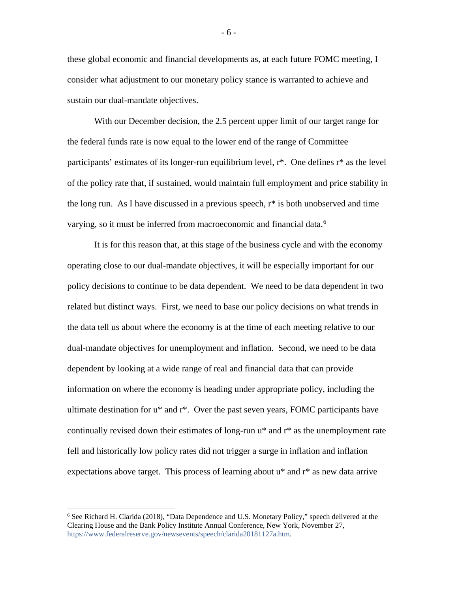these global economic and financial developments as, at each future FOMC meeting, I consider what adjustment to our monetary policy stance is warranted to achieve and sustain our dual-mandate objectives.

With our December decision, the 2.5 percent upper limit of our target range for the federal funds rate is now equal to the lower end of the range of Committee participants' estimates of its longer-run equilibrium level, r\*. One defines r\* as the level of the policy rate that, if sustained, would maintain full employment and price stability in the long run. As I have discussed in a previous speech,  $r^*$  is both unobserved and time varying, so it must be inferred from macroeconomic and financial data.<sup>[6](#page-6-0)</sup>

It is for this reason that, at this stage of the business cycle and with the economy operating close to our dual-mandate objectives, it will be especially important for our policy decisions to continue to be data dependent. We need to be data dependent in two related but distinct ways. First, we need to base our policy decisions on what trends in the data tell us about where the economy is at the time of each meeting relative to our dual-mandate objectives for unemployment and inflation. Second, we need to be data dependent by looking at a wide range of real and financial data that can provide information on where the economy is heading under appropriate policy, including the ultimate destination for u\* and r\*. Over the past seven years, FOMC participants have continually revised down their estimates of long-run u\* and r\* as the unemployment rate fell and historically low policy rates did not trigger a surge in inflation and inflation expectations above target. This process of learning about u\* and r\* as new data arrive

- 6 -

<span id="page-6-0"></span> <sup>6</sup> See Richard H. Clarida (2018), "Data Dependence and U.S. Monetary Policy," speech delivered at the Clearing House and the Bank Policy Institute Annual Conference, New York, November 27, [https://www.federalreserve.gov/newsevents/speech/clarida20181127a.htm.](https://www.federalreserve.gov/newsevents/speech/clarida20181127a.htm)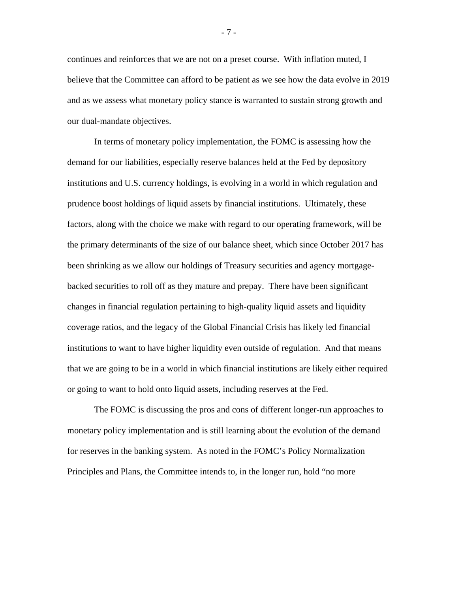continues and reinforces that we are not on a preset course. With inflation muted, I believe that the Committee can afford to be patient as we see how the data evolve in 2019 and as we assess what monetary policy stance is warranted to sustain strong growth and our dual-mandate objectives.

In terms of monetary policy implementation, the FOMC is assessing how the demand for our liabilities, especially reserve balances held at the Fed by depository institutions and U.S. currency holdings, is evolving in a world in which regulation and prudence boost holdings of liquid assets by financial institutions. Ultimately, these factors, along with the choice we make with regard to our operating framework, will be the primary determinants of the size of our balance sheet, which since October 2017 has been shrinking as we allow our holdings of Treasury securities and agency mortgagebacked securities to roll off as they mature and prepay. There have been significant changes in financial regulation pertaining to high-quality liquid assets and liquidity coverage ratios, and the legacy of the Global Financial Crisis has likely led financial institutions to want to have higher liquidity even outside of regulation. And that means that we are going to be in a world in which financial institutions are likely either required or going to want to hold onto liquid assets, including reserves at the Fed.

The FOMC is discussing the pros and cons of different longer-run approaches to monetary policy implementation and is still learning about the evolution of the demand for reserves in the banking system. As noted in the FOMC's Policy Normalization Principles and Plans, the Committee intends to, in the longer run, hold "no more

- 7 -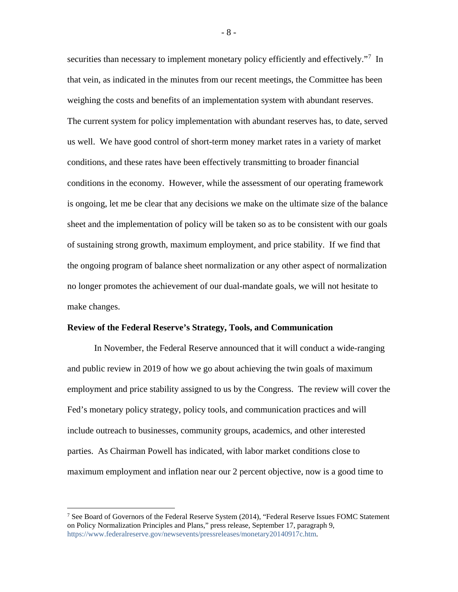securities than necessary to implement monetary policy efficiently and effectively."<sup>[7](#page-8-0)</sup> In that vein, as indicated in the minutes from our recent meetings, the Committee has been weighing the costs and benefits of an implementation system with abundant reserves. The current system for policy implementation with abundant reserves has, to date, served us well. We have good control of short-term money market rates in a variety of market conditions, and these rates have been effectively transmitting to broader financial conditions in the economy. However, while the assessment of our operating framework is ongoing, let me be clear that any decisions we make on the ultimate size of the balance sheet and the implementation of policy will be taken so as to be consistent with our goals of sustaining strong growth, maximum employment, and price stability. If we find that the ongoing program of balance sheet normalization or any other aspect of normalization no longer promotes the achievement of our dual-mandate goals, we will not hesitate to make changes.

## **Review of the Federal Reserve's Strategy, Tools, and Communication**

In November, the Federal Reserve announced that it will conduct a wide-ranging and public review in 2019 of how we go about achieving the twin goals of maximum employment and price stability assigned to us by the Congress. The review will cover the Fed's monetary policy strategy, policy tools, and communication practices and will include outreach to businesses, community groups, academics, and other interested parties. As Chairman Powell has indicated, with labor market conditions close to maximum employment and inflation near our 2 percent objective, now is a good time to

- 8 -

<span id="page-8-0"></span><sup>&</sup>lt;sup>7</sup> See Board of Governors of the Federal Reserve System (2014), "Federal Reserve Issues FOMC Statement on Policy Normalization Principles and Plans," press release, September 17, paragraph 9, [https://www.federalreserve.gov/newsevents/pressreleases/monetary20140917c.htm.](https://www.federalreserve.gov/newsevents/pressreleases/monetary20140917c.htm)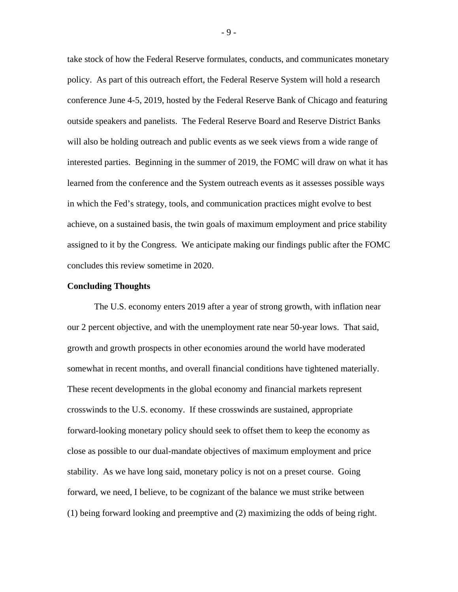take stock of how the Federal Reserve formulates, conducts, and communicates monetary policy. As part of this outreach effort, the Federal Reserve System will hold a research conference June 4-5, 2019, hosted by the Federal Reserve Bank of Chicago and featuring outside speakers and panelists. The Federal Reserve Board and Reserve District Banks will also be holding outreach and public events as we seek views from a wide range of interested parties. Beginning in the summer of 2019, the FOMC will draw on what it has learned from the conference and the System outreach events as it assesses possible ways in which the Fed's strategy, tools, and communication practices might evolve to best achieve, on a sustained basis, the twin goals of maximum employment and price stability assigned to it by the Congress. We anticipate making our findings public after the FOMC concludes this review sometime in 2020.

## **Concluding Thoughts**

The U.S. economy enters 2019 after a year of strong growth, with inflation near our 2 percent objective, and with the unemployment rate near 50-year lows. That said, growth and growth prospects in other economies around the world have moderated somewhat in recent months, and overall financial conditions have tightened materially. These recent developments in the global economy and financial markets represent crosswinds to the U.S. economy. If these crosswinds are sustained, appropriate forward-looking monetary policy should seek to offset them to keep the economy as close as possible to our dual-mandate objectives of maximum employment and price stability. As we have long said, monetary policy is not on a preset course. Going forward, we need, I believe, to be cognizant of the balance we must strike between (1) being forward looking and preemptive and (2) maximizing the odds of being right.

- 9 -